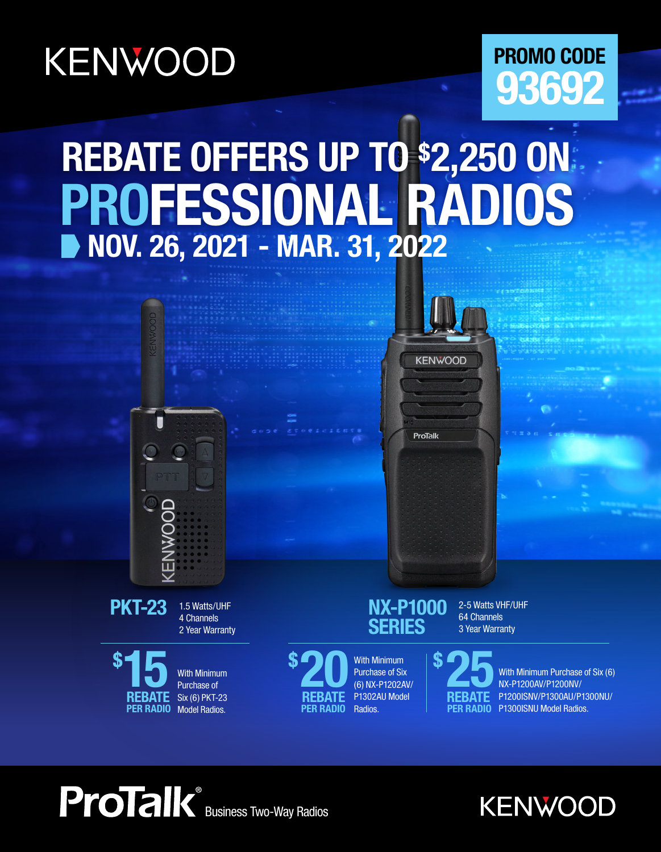# KENWOOD

## **PROMO CODE 93692**

# **REBATE OFFERS UP TO \$2,250 ON NOV. 26, 2021 - MAR. 31, 2022 PROFESSIONAL RADIOS**



**ProTalk** 









Purchase of Six (6) NX-P1202AV/ P1302AU Model Radios.

**PER RADIO** 

2-5 Watts VHF/UHF 64 Channels 3 Year Warranty

With Minimum Purchase of Six (6) NX-P1200AV/P1200NV/ P1200ISNV/P1300AU/P1300NU/ P1300ISNU Model Radios. **25 \$ REBATE**